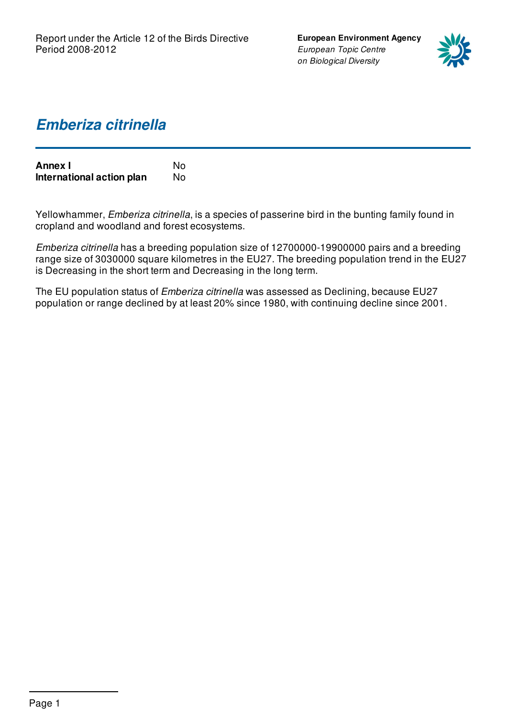**European Environment Agency** *European Topic Centre on Biological Diversity*



## *Emberiza citrinella*

| <b>Annex I</b>            | N٥ |
|---------------------------|----|
| International action plan | N٥ |

Yellowhammer, *Emberiza citrinella*, is a species of passerine bird in the bunting family found in cropland and woodland and forest ecosystems.

*Emberiza citrinella* has a breeding population size of 12700000-19900000 pairs and a breeding range size of 3030000 square kilometres in the EU27. The breeding population trend in the EU27 is Decreasing in the short term and Decreasing in the long term.

The EU population status of *Emberiza citrinella* was assessed as Declining, because EU27 population or range declined by at least 20% since 1980, with continuing decline since 2001.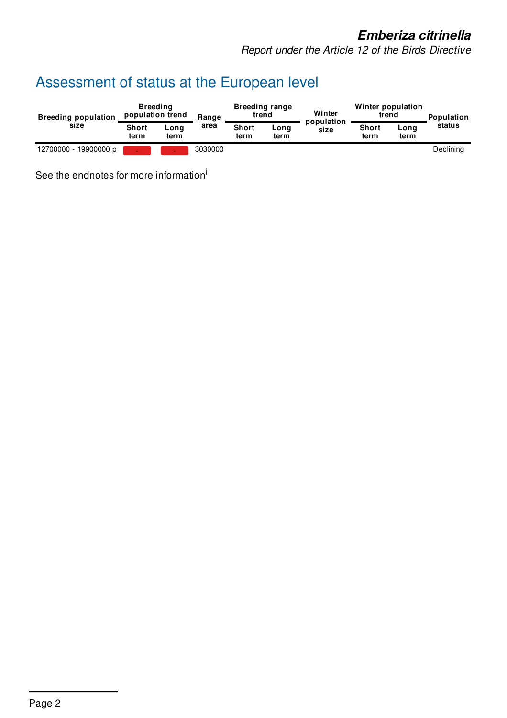*Report under the Article 12 of the Birds Directive*

# Assessment of status at the European level

| <b>Breeding population</b><br>size | <b>Breeding</b><br>population trend |              | Range   | <b>Breeding range</b><br>trend |              | Winter             | Winter population<br>trend |              | <b>Population</b> |
|------------------------------------|-------------------------------------|--------------|---------|--------------------------------|--------------|--------------------|----------------------------|--------------|-------------------|
|                                    | <b>Short</b><br>term                | Long<br>term | area    | <b>Short</b><br>term           | Long<br>term | population<br>size | <b>Short</b><br>term       | Long<br>term | status            |
| 12700000 - 19900000 p              |                                     |              | 3030000 |                                |              |                    |                            |              | Declining         |

See the endnotes for more information<sup>i</sup>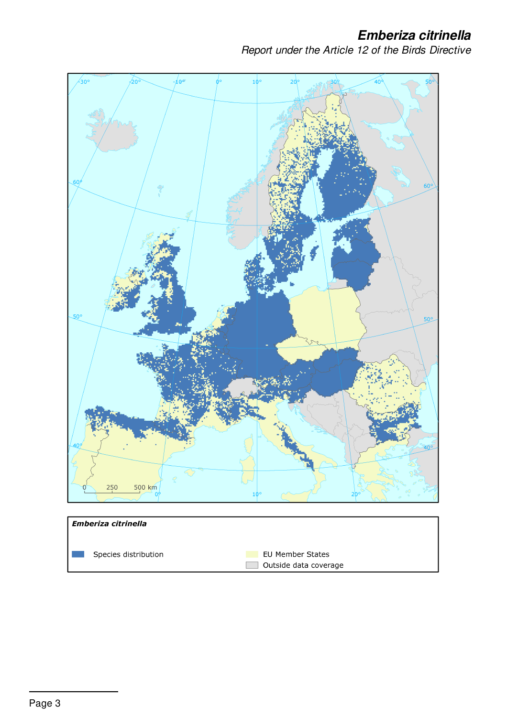*Report under the Article 12 of the Birds Directive*

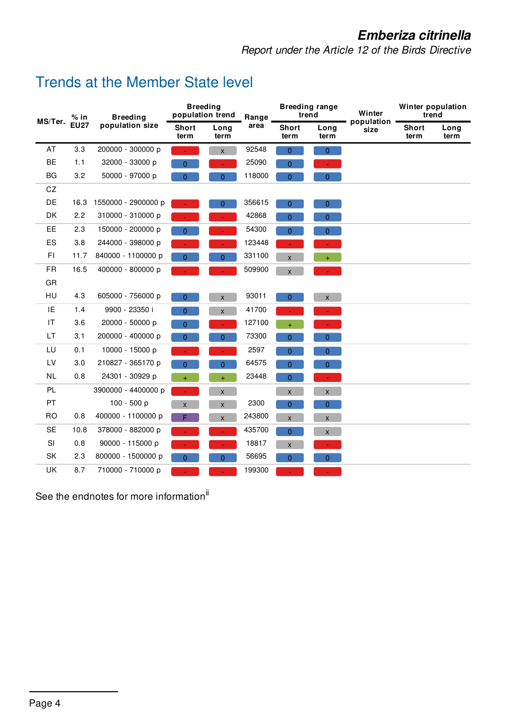*Report under the Article 12 of the Birds Directive*

## Trends at the Member State level

| MS/Ter.   | % in<br><b>EU27</b> | <b>Breeding</b><br>population size | <b>Breeding</b><br>population trend |                    | Range  | <b>Breeding range</b><br>trend |                           | Winter             | Winter population<br>trend |              |
|-----------|---------------------|------------------------------------|-------------------------------------|--------------------|--------|--------------------------------|---------------------------|--------------------|----------------------------|--------------|
|           |                     |                                    | <b>Short</b><br>term                | Long<br>term       | area   | <b>Short</b><br>term           | Long<br>term              | population<br>size | <b>Short</b><br>term       | Long<br>term |
| AT        | 3.3                 | 200000 - 300000 p                  |                                     | $\mathsf{x}$       | 92548  | $\overline{0}$                 | $\overline{0}$            |                    |                            |              |
| <b>BE</b> | 1.1                 | 32000 - 33000 p                    | $\overline{0}$                      | $\blacksquare$     | 25090  | $\overline{0}$                 |                           |                    |                            |              |
| BG        | 3.2                 | 50000 - 97000 p                    | 0                                   | $\mathbf{0}$       | 118000 | 0                              | $\overline{0}$            |                    |                            |              |
| CZ        |                     |                                    |                                     |                    |        |                                |                           |                    |                            |              |
| DE        | 16.3                | 1550000 - 2900000 p                |                                     | $\overline{0}$     | 356615 | $\mathbf{0}$                   | $\overline{0}$            |                    |                            |              |
| DK        | 2.2                 | 310000 - 310000 p                  |                                     |                    | 42868  | 0                              | $\overline{0}$            |                    |                            |              |
| <b>EE</b> | 2.3                 | 150000 - 200000 p                  | $\Omega$                            |                    | 54300  | $\overline{0}$                 | $\overline{0}$            |                    |                            |              |
| ES        | 3.8                 | 244000 - 398000 p                  |                                     |                    | 123448 |                                |                           |                    |                            |              |
| FI.       | 11.7                | 840000 - 1100000 p                 | 0                                   | 0                  | 331100 | $\pmb{\mathsf{X}}$             | ÷.                        |                    |                            |              |
| <b>FR</b> | 16.5                | 400000 - 800000 p                  |                                     |                    | 509900 | $\pmb{\mathsf{X}}$             |                           |                    |                            |              |
| GR        |                     |                                    |                                     |                    |        |                                |                           |                    |                            |              |
| HU        | 4.3                 | 605000 - 756000 p                  | 0                                   | $\pmb{\mathsf{X}}$ | 93011  | 0                              | $\boldsymbol{\mathsf{X}}$ |                    |                            |              |
| IE        | 1.4                 | 9900 - 23350 i                     | $\overline{0}$                      | $\pmb{\mathsf{X}}$ | 41700  |                                |                           |                    |                            |              |
| IT        | 3.6                 | 20000 - 50000 p                    | $\overline{0}$                      | $\blacksquare$     | 127100 | $\ddot{}$                      |                           |                    |                            |              |
| LT        | 3.1                 | 200000 - 400000 p                  | 0                                   | 0                  | 73300  | 0                              | $\mathbf{0}$              |                    |                            |              |
| LU        | 0.1                 | 10000 - 15000 p                    |                                     |                    | 2597   | $\overline{0}$                 | $\overline{0}$            |                    |                            |              |
| LV        | 3.0                 | 210827 - 365170 p                  | $\overline{0}$                      | $\overline{0}$     | 64575  | $\overline{0}$                 | $\overline{0}$            |                    |                            |              |
| <b>NL</b> | 0.8                 | 24301 - 30929 p                    | $+$                                 | $\ddot{}$          | 23448  | 0                              | $\mathcal{L}$             |                    |                            |              |
| PL        |                     | 3900000 - 4400000 p                |                                     | $\pmb{\mathsf{X}}$ |        | $\mathsf X$                    | $\bar{\mathbf{x}}$        |                    |                            |              |
| PT        |                     | 100 - 500 p                        | $\mathsf{X}$                        | $\pmb{\mathsf{X}}$ | 2300   | $\overline{0}$                 | $\overline{0}$            |                    |                            |              |
| RO.       | 0.8                 | 400000 - 1100000 p                 | F.                                  | $\pmb{\mathsf{X}}$ | 243800 | X                              | $\pmb{\mathsf{X}}$        |                    |                            |              |
| <b>SE</b> | 10.8                | 378000 - 882000 p                  |                                     |                    | 435700 | $\Omega$                       | $\mathsf{X}$              |                    |                            |              |
| SI        | 0.8                 | 90000 - 115000 p                   |                                     | ٠                  | 18817  | $\pmb{\mathsf{X}}$             | $\blacksquare$            |                    |                            |              |
| SK        | 2.3                 | 800000 - 1500000 p                 | $\overline{0}$                      | $\mathbf{0}$       | 56695  | 0                              | $\overline{0}$            |                    |                            |              |
| UK        | 8.7                 | 710000 - 710000 p                  |                                     |                    | 199300 |                                |                           |                    |                            |              |

See the endnotes for more information<sup>ii</sup>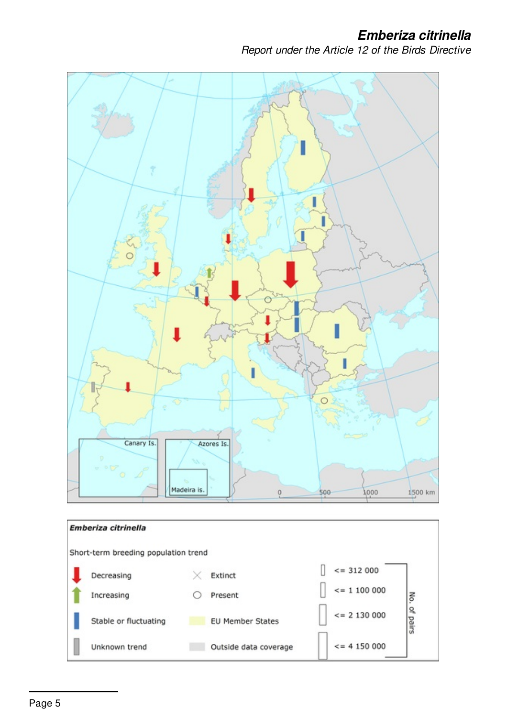*Report under the Article 12 of the Birds Directive*

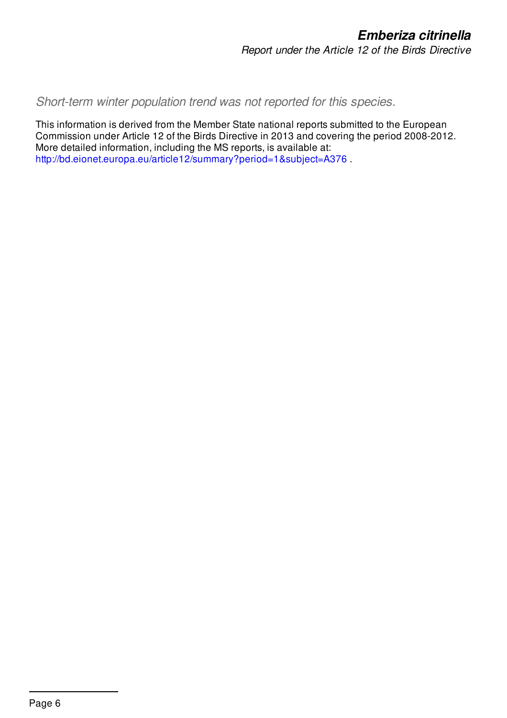*Short-term winter population trend was not reported for this species.*

This information is derived from the Member State national reports submitted to the European Commission under Article 12 of the Birds Directive in 2013 and covering the period 2008-2012. More detailed information, including the MS reports, is available at: <http://bd.eionet.europa.eu/article12/summary?period=1&subject=A376> .